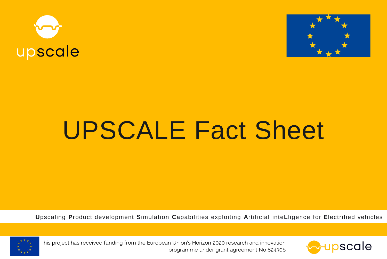



# **UPSCALE Fact Sheet**

Upscaling Product development Simulation Capabilities exploiting Artificial inteLligence for Electrified vehicles



This project has received funding from the European Union's Horizon 2020 research and innovation programme under grant agreement No 824306

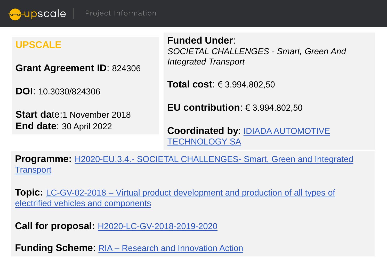<del>ov</del>upscale | Project Information

#### **UPSCALE**

**Grant Agreement ID**: 824306

**DOI**: 10.3030/824306

**Start da**te:1 November 2018 **End date**: 30 April 2022

**Funded Under**: *SOCIETAL CHALLENGES - Smart, Green And Integrated Transport*

**Total cost**: € 3.994.802,50

**EU contribution**: € 3.994.802,50

**Coordinated by**: [IDIADA AUTOMOTIVE](https://www.applusidiada.com/global/en/) TECHNOLOGY SA

**Programme:** H2020-EU.3.4.- SOCIETAL CHALLENGES- [Smart, Green and Integrated](https://cordis.europa.eu/programme/id/H2020-EU.3.4.) **Transport** 

**Topic:** LC-GV-02-2018 – Virtual product development and production of all types of electrified vehicles [and components](https://cordis.europa.eu/programme/id/H2020_LC-GV-02-2018)

**Call for proposal:** [H2020-LC-GV-2018-2019-2020](https://ec.europa.eu/info/funding-tenders/opportunities/portal/screen/opportunities/topic-search;callCode=H2020-LC-GV-2018-2019-2020)

**Funding Scheme**: RIA – Research [and Innovation](https://cordis.europa.eu/search/en?q=%2Fproject%2Frelations%2Fcategories%2FprojectFundingSchemeCategory%2Fcode%3DRIA%27&p=1&num=10&srt=Relevance:decreasing) Action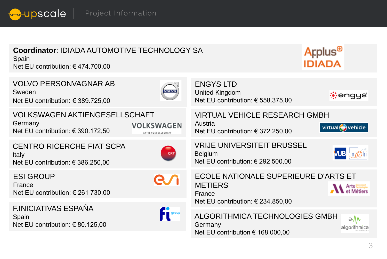*Q***upscale** | Project Information

### **Coordinator**: IDIADA AUTOMOTIVE TECHNOLOGY SA

Spain Net EU contribution: € 474.700,00

## Applus<sup>®</sup> **IDIADA**

VOLVO PERSONVAGNAR AB ENGYS LTD Sweden **VOLVO** United Kingdom *i*engys Net EU contribution: € 558.375,00 Net EU contribution: € 389.725,00 VOLKSWAGEN AKTIENGESELLSCHAFT VIRTUAL VEHICLE RESEARCH GMBH Germany Austria **VOLKSWAGEN** virtual  $\left($  vehicle Net EU contribution: € 390.172,50 Net EU contribution: € 372 250,00 AKTIENGESELLSCHAFT VRIJE UNIVERSITEIT BRUSSEL CENTRO RICERCHE FIAT SCPA WB n@hi  $CRF$ Belgium Italy Net EU contribution: € 386.250,00 Net EU contribution: € 292 500,00 ESI GROUP ECOLE NATIONALE SUPERIEURE D'ARTS ET METIERS France Arts<br>et Métiers Net EU contribution: € 261 730,00 France Net EU contribution: € 234.850,00  $f^{\text{1}}$  group F.INICIATIVAS ESPAÑA ALGORITHMICA TECHNOLOGIES GMBH Spain อ√∧ Net EU contribution: € 80.125,00Germany algorithmica Net EU contribution € 168.000,00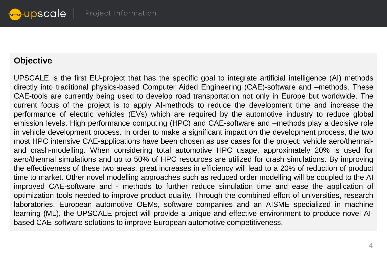#### **Objective**

UPSCALE is the first EU-project that has the specific goal to integrate artificial intelligence (AI) methods directly into traditional physics-based Computer Aided Engineering (CAE)-software and –methods. These CAE-tools are currently being used to develop road transportation not only in Europe but worldwide. The current focus of the project is to apply AI-methods to reduce the development time and increase the performance of electric vehicles (EVs) which are required by the automotive industry to reduce global emission levels. High performance computing (HPC) and CAE-software and –methods play a decisive role in vehicle development process. In order to make a significant impact on the development process, the two most HPC intensive CAE-applications have been chosen as use cases for the project: vehicle aero/thermaland crash-modelling. When considering total automotive HPC usage, approximately 20% is used for aero/thermal simulations and up to 50% of HPC resources are utilized for crash simulations. By improving the effectiveness of these two areas, great increases in efficiency will lead to a 20% of reduction of product time to market. Other novel modelling approaches such as reduced order modelling will be coupled to the AI improved CAE-software and - methods to further reduce simulation time and ease the application of optimization tools needed to improve product quality. Through the combined effort of universities, research laboratories, European automotive OEMs, software companies and an AISME specialized in machine learning (ML), the UPSCALE project will provide a unique and effective environment to produce novel AIbased CAE-software solutions to improve European automotive competitiveness.